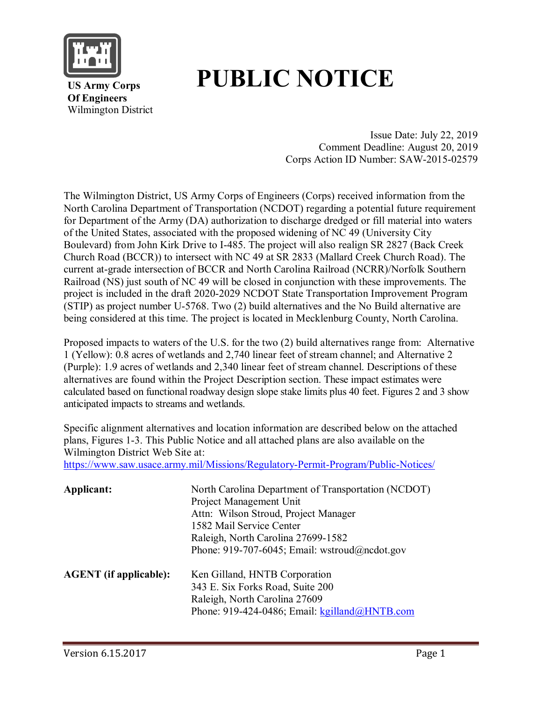

# **PUBLIC NOTICE**

 **US Army Corps Of Engineers** Wilmington District

> Issue Date: July 22, 2019 Comment Deadline: August 20, 2019 Corps Action ID Number: SAW-2015-02579

The Wilmington District, US Army Corps of Engineers (Corps) received information from the North Carolina Department of Transportation (NCDOT) regarding a potential future requirement for Department of the Army (DA) authorization to discharge dredged or fill material into waters of the United States, associated with the proposed widening of NC 49 (University City Boulevard) from John Kirk Drive to I-485. The project will also realign SR 2827 (Back Creek Church Road (BCCR)) to intersect with NC 49 at SR 2833 (Mallard Creek Church Road). The current at-grade intersection of BCCR and North Carolina Railroad (NCRR)/Norfolk Southern Railroad (NS) just south of NC 49 will be closed in conjunction with these improvements. The project is included in the draft 2020-2029 NCDOT State Transportation Improvement Program (STIP) as project number U-5768. Two (2) build alternatives and the No Build alternative are being considered at this time. The project is located in Mecklenburg County, North Carolina.

Proposed impacts to waters of the U.S. for the two (2) build alternatives range from: Alternative 1 (Yellow): 0.8 acres of wetlands and 2,740 linear feet of stream channel; and Alternative 2 (Purple): 1.9 acres of wetlands and 2,340 linear feet of stream channel. Descriptions of these alternatives are found within the Project Description section. These impact estimates were calculated based on functional roadway design slope stake limits plus 40 feet. Figures 2 and 3 show anticipated impacts to streams and wetlands.

Specific alignment alternatives and location information are described below on the attached plans, Figures 1-3. This Public Notice and all attached plans are also available on the Wilmington District Web Site at:

<https://www.saw.usace.army.mil/Missions/Regulatory-Permit-Program/Public-Notices/>

| Applicant:                    | North Carolina Department of Transportation (NCDOT)<br>Project Management Unit<br>Attn: Wilson Stroud, Project Manager<br>1582 Mail Service Center<br>Raleigh, North Carolina 27699-1582<br>Phone: 919-707-6045; Email: wstroud@ncdot.gov |
|-------------------------------|-------------------------------------------------------------------------------------------------------------------------------------------------------------------------------------------------------------------------------------------|
| <b>AGENT</b> (if applicable): | Ken Gilland, HNTB Corporation<br>343 E. Six Forks Road, Suite 200<br>Raleigh, North Carolina 27609<br>Phone: 919-424-0486; Email: kgilland@HNTB.com                                                                                       |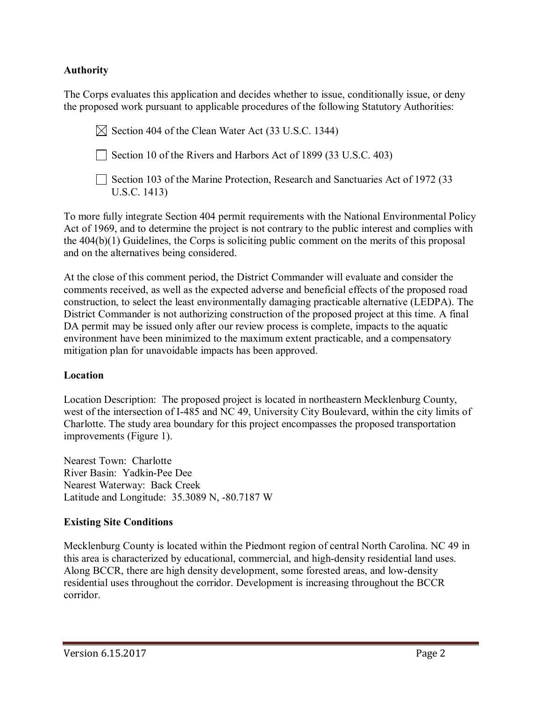## **Authority**

The Corps evaluates this application and decides whether to issue, conditionally issue, or deny the proposed work pursuant to applicable procedures of the following Statutory Authorities:

 $\boxtimes$  Section 404 of the Clean Water Act (33 U.S.C. 1344)

Section 10 of the Rivers and Harbors Act of 1899 (33 U.S.C. 403)

Section 103 of the Marine Protection, Research and Sanctuaries Act of 1972 (33 U.S.C. 1413)

To more fully integrate Section 404 permit requirements with the National Environmental Policy Act of 1969, and to determine the project is not contrary to the public interest and complies with the 404(b)(1) Guidelines, the Corps is soliciting public comment on the merits of this proposal and on the alternatives being considered.

At the close of this comment period, the District Commander will evaluate and consider the comments received, as well as the expected adverse and beneficial effects of the proposed road construction, to select the least environmentally damaging practicable alternative (LEDPA). The District Commander is not authorizing construction of the proposed project at this time. A final DA permit may be issued only after our review process is complete, impacts to the aquatic environment have been minimized to the maximum extent practicable, and a compensatory mitigation plan for unavoidable impacts has been approved.

#### **Location**

Location Description: The proposed project is located in northeastern Mecklenburg County, west of the intersection of I-485 and NC 49, University City Boulevard, within the city limits of Charlotte. The study area boundary for this project encompasses the proposed transportation improvements (Figure 1).

Nearest Town: Charlotte River Basin: Yadkin-Pee Dee Nearest Waterway: Back Creek Latitude and Longitude: 35.3089 N, -80.7187 W

#### **Existing Site Conditions**

Mecklenburg County is located within the Piedmont region of central North Carolina. NC 49 in this area is characterized by educational, commercial, and high-density residential land uses. Along BCCR, there are high density development, some forested areas, and low-density residential uses throughout the corridor. Development is increasing throughout the BCCR corridor.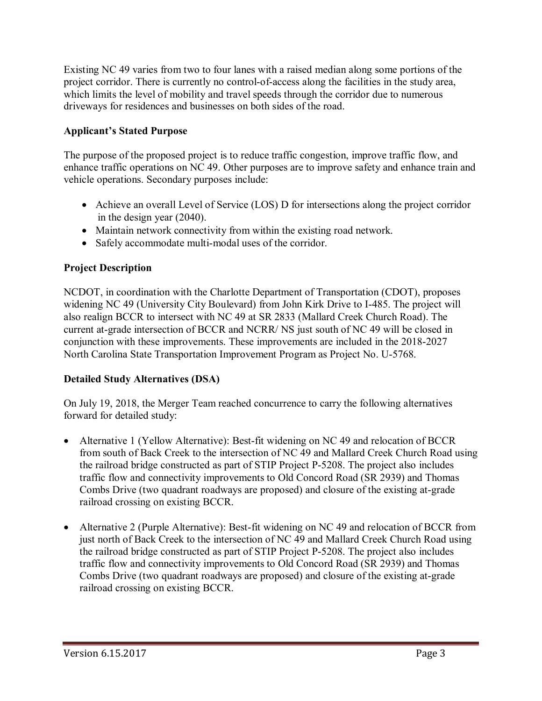Existing NC 49 varies from two to four lanes with a raised median along some portions of the project corridor. There is currently no control-of-access along the facilities in the study area, which limits the level of mobility and travel speeds through the corridor due to numerous driveways for residences and businesses on both sides of the road.

## **Applicant's Stated Purpose**

The purpose of the proposed project is to reduce traffic congestion, improve traffic flow, and enhance traffic operations on NC 49. Other purposes are to improve safety and enhance train and vehicle operations. Secondary purposes include:

- Achieve an overall Level of Service (LOS) D for intersections along the project corridor in the design year (2040).
- Maintain network connectivity from within the existing road network.
- Safely accommodate multi-modal uses of the corridor.

# **Project Description**

NCDOT, in coordination with the Charlotte Department of Transportation (CDOT), proposes widening NC 49 (University City Boulevard) from John Kirk Drive to I-485. The project will also realign BCCR to intersect with NC 49 at SR 2833 (Mallard Creek Church Road). The current at-grade intersection of BCCR and NCRR/ NS just south of NC 49 will be closed in conjunction with these improvements. These improvements are included in the 2018-2027 North Carolina State Transportation Improvement Program as Project No. U-5768.

## **Detailed Study Alternatives (DSA)**

On July 19, 2018, the Merger Team reached concurrence to carry the following alternatives forward for detailed study:

- Alternative 1 (Yellow Alternative): Best-fit widening on NC 49 and relocation of BCCR from south of Back Creek to the intersection of NC 49 and Mallard Creek Church Road using the railroad bridge constructed as part of STIP Project P-5208. The project also includes traffic flow and connectivity improvements to Old Concord Road (SR 2939) and Thomas Combs Drive (two quadrant roadways are proposed) and closure of the existing at-grade railroad crossing on existing BCCR.
- Alternative 2 (Purple Alternative): Best-fit widening on NC 49 and relocation of BCCR from just north of Back Creek to the intersection of NC 49 and Mallard Creek Church Road using the railroad bridge constructed as part of STIP Project P-5208. The project also includes traffic flow and connectivity improvements to Old Concord Road (SR 2939) and Thomas Combs Drive (two quadrant roadways are proposed) and closure of the existing at-grade railroad crossing on existing BCCR.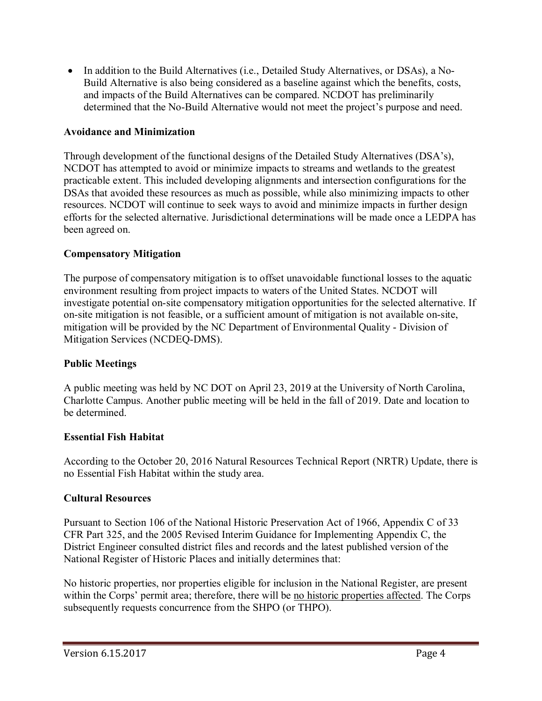• In addition to the Build Alternatives (i.e., Detailed Study Alternatives, or DSAs), a No-Build Alternative is also being considered as a baseline against which the benefits, costs, and impacts of the Build Alternatives can be compared. NCDOT has preliminarily determined that the No-Build Alternative would not meet the project's purpose and need.

### **Avoidance and Minimization**

Through development of the functional designs of the Detailed Study Alternatives (DSA's), NCDOT has attempted to avoid or minimize impacts to streams and wetlands to the greatest practicable extent. This included developing alignments and intersection configurations for the DSAs that avoided these resources as much as possible, while also minimizing impacts to other resources. NCDOT will continue to seek ways to avoid and minimize impacts in further design efforts for the selected alternative. Jurisdictional determinations will be made once a LEDPA has been agreed on.

## **Compensatory Mitigation**

The purpose of compensatory mitigation is to offset unavoidable functional losses to the aquatic environment resulting from project impacts to waters of the United States. NCDOT will investigate potential on-site compensatory mitigation opportunities for the selected alternative. If on-site mitigation is not feasible, or a sufficient amount of mitigation is not available on-site, mitigation will be provided by the NC Department of Environmental Quality - Division of Mitigation Services (NCDEQ-DMS).

#### **Public Meetings**

A public meeting was held by NC DOT on April 23, 2019 at the University of North Carolina, Charlotte Campus. Another public meeting will be held in the fall of 2019. Date and location to be determined.

#### **Essential Fish Habitat**

According to the October 20, 2016 Natural Resources Technical Report (NRTR) Update, there is no Essential Fish Habitat within the study area.

#### **Cultural Resources**

Pursuant to Section 106 of the National Historic Preservation Act of 1966, Appendix C of 33 CFR Part 325, and the 2005 Revised Interim Guidance for Implementing Appendix C, the District Engineer consulted district files and records and the latest published version of the National Register of Historic Places and initially determines that:

No historic properties, nor properties eligible for inclusion in the National Register, are present within the Corps' permit area; therefore, there will be no historic properties affected. The Corps subsequently requests concurrence from the SHPO (or THPO).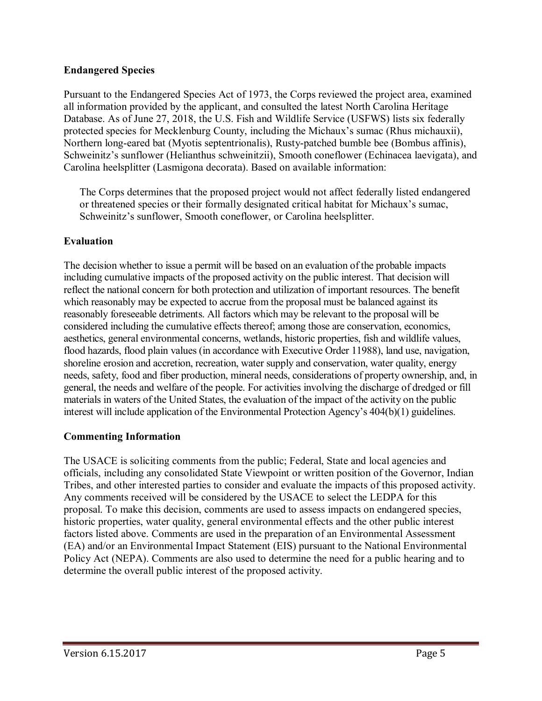## **Endangered Species**

Pursuant to the Endangered Species Act of 1973, the Corps reviewed the project area, examined all information provided by the applicant, and consulted the latest North Carolina Heritage Database. As of June 27, 2018, the U.S. Fish and Wildlife Service (USFWS) lists six federally protected species for Mecklenburg County, including the Michaux's sumac (Rhus michauxii), Northern long-eared bat (Myotis septentrionalis), Rusty-patched bumble bee (Bombus affinis), Schweinitz's sunflower (Helianthus schweinitzii), Smooth coneflower (Echinacea laevigata), and Carolina heelsplitter (Lasmigona decorata). Based on available information:

The Corps determines that the proposed project would not affect federally listed endangered or threatened species or their formally designated critical habitat for Michaux's sumac, Schweinitz's sunflower, Smooth coneflower, or Carolina heelsplitter.

# **Evaluation**

The decision whether to issue a permit will be based on an evaluation of the probable impacts including cumulative impacts of the proposed activity on the public interest. That decision will reflect the national concern for both protection and utilization of important resources. The benefit which reasonably may be expected to accrue from the proposal must be balanced against its reasonably foreseeable detriments. All factors which may be relevant to the proposal will be considered including the cumulative effects thereof; among those are conservation, economics, aesthetics, general environmental concerns, wetlands, historic properties, fish and wildlife values, flood hazards, flood plain values (in accordance with Executive Order 11988), land use, navigation, shoreline erosion and accretion, recreation, water supply and conservation, water quality, energy needs, safety, food and fiber production, mineral needs, considerations of property ownership, and, in general, the needs and welfare of the people. For activities involving the discharge of dredged or fill materials in waters of the United States, the evaluation of the impact of the activity on the public interest will include application of the Environmental Protection Agency's 404(b)(1) guidelines.

## **Commenting Information**

The USACE is soliciting comments from the public; Federal, State and local agencies and officials, including any consolidated State Viewpoint or written position of the Governor, Indian Tribes, and other interested parties to consider and evaluate the impacts of this proposed activity. Any comments received will be considered by the USACE to select the LEDPA for this proposal. To make this decision, comments are used to assess impacts on endangered species, historic properties, water quality, general environmental effects and the other public interest factors listed above. Comments are used in the preparation of an Environmental Assessment (EA) and/or an Environmental Impact Statement (EIS) pursuant to the National Environmental Policy Act (NEPA). Comments are also used to determine the need for a public hearing and to determine the overall public interest of the proposed activity.